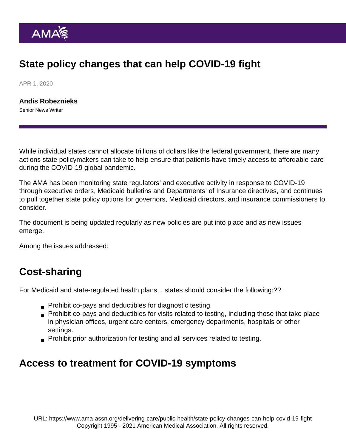# State policy changes that can help COVID-19 fight

APR 1, 2020

[Andis Robeznieks](https://www.ama-assn.org/news-leadership-viewpoints/authors-news-leadership-viewpoints/andis-robeznieks) Senior News Writer

While individual states cannot allocate trillions of dollars like the federal government, there are many actions state policymakers can take to help ensure that patients have timely access to affordable care during the COVID-19 global pandemic.

The AMA has been monitoring state regulators' and executive activity in response to COVID-19 through executive orders, Medicaid bulletins and Departments' of Insurance directives, and continues to pull together [state policy options](https://www.ama-assn.org/delivering-care/public-health/policy-options-states-address-covid-19) for governors, Medicaid directors, and insurance commissioners to consider.

The document is being updated regularly as new policies are put into place and as new issues emerge.

Among the issues addressed:

### Cost-sharing

For Medicaid and state-regulated health plans, , states should consider the following:??

- Prohibit co-pays and deductibles for diagnostic testing.
- Prohibit co-pays and deductibles for visits related to testing, including those that take place in physician offices, urgent care centers, emergency departments, hospitals or other settings.
- Prohibit prior authorization for testing and all services related to testing.

#### Access to treatment for COVID-19 symptoms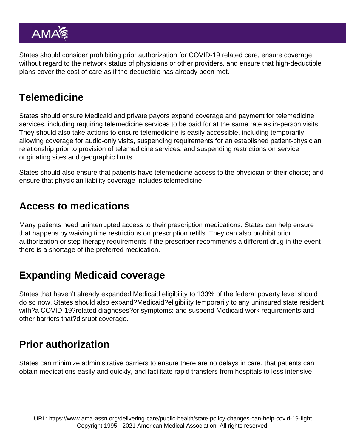States should consider prohibiting prior authorization for COVID-19 related care, ensure coverage without regard to the network status of physicians or other providers, and ensure that high-deductible plans cover the cost of care as if the deductible has already been met.

### Telemedicine

States should ensure Medicaid and private payors expand coverage and payment for telemedicine services, including requiring telemedicine services to be paid for at the same rate as in-person visits. They should also take actions to ensure telemedicine is easily accessible, including temporarily allowing coverage for audio-only visits, suspending requirements for an established patient-physician relationship prior to provision of telemedicine services; and suspending restrictions on service originating sites and geographic limits.

States should also ensure that patients have telemedicine access to the physician of their choice; and ensure that physician liability coverage includes telemedicine.

### Access to medications

Many patients need uninterrupted access to their prescription medications. States can help ensure that happens by waiving time restrictions on prescription refills. They can also prohibit prior authorization or step therapy requirements if the prescriber recommends a different drug in the event there is a shortage of the preferred medication.

## Expanding Medicaid coverage

States that haven't already expanded Medicaid eligibility to 133% of the federal poverty level should do so now. States should also expand?Medicaid?eligibility temporarily to any uninsured state resident with?a COVID-19?related diagnoses?or symptoms; and suspend Medicaid work requirements and other barriers that?disrupt coverage.

## Prior authorization

States can minimize administrative barriers to ensure there are no delays in care, that patients can obtain medications easily and quickly, and facilitate rapid transfers from hospitals to less intensive